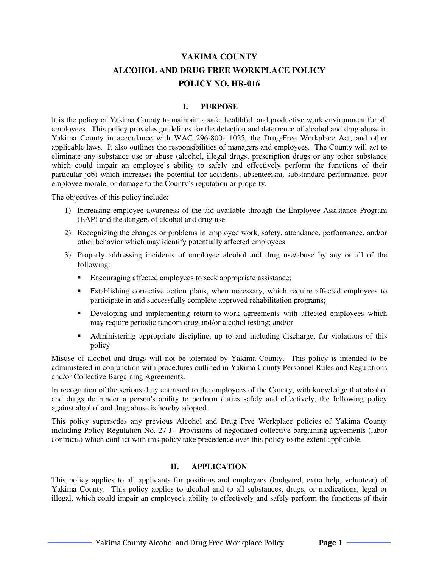# **YAKIMA COUNTY ALCOHOL AND DRUG FREE WORKPLACE POLICY POLICY NO. HR-016**

### **I. PURPOSE**

It is the policy of Yakima County to maintain a safe, healthful, and productive work environment for all employees. This policy provides guidelines for the detection and deterrence of alcohol and drug abuse in Yakima County in accordance with WAC 296-800-11025, the Drug-Free Workplace Act, and other applicable laws. It also outlines the responsibilities of managers and employees. The County will act to eliminate any substance use or abuse (alcohol, illegal drugs, prescription drugs or any other substance which could impair an employee's ability to safely and effectively perform the functions of their particular job) which increases the potential for accidents, absenteeism, substandard performance, poor employee morale, or damage to the County's reputation or property.

The objectives of this policy include:

- 1) Increasing employee awareness of the aid available through the Employee Assistance Program (EAP) and the dangers of alcohol and drug use
- 2) Recognizing the changes or problems in employee work, safety, attendance, performance, and/or other behavior which may identify potentially affected employees
- 3) Properly addressing incidents of employee alcohol and drug use/abuse by any or all of the following:
	- Encouraging affected employees to seek appropriate assistance;
	- Establishing corrective action plans, when necessary, which require affected employees to participate in and successfully complete approved rehabilitation programs;
	- **Developing and implementing return-to-work agreements with affected employees which** may require periodic random drug and/or alcohol testing; and/or
	- Administering appropriate discipline, up to and including discharge, for violations of this policy.

Misuse of alcohol and drugs will not be tolerated by Yakima County. This policy is intended to be administered in conjunction with procedures outlined in Yakima County Personnel Rules and Regulations and/or Collective Bargaining Agreements.

In recognition of the serious duty entrusted to the employees of the County, with knowledge that alcohol and drugs do hinder a person's ability to perform duties safely and effectively, the following policy against alcohol and drug abuse is hereby adopted.

This policy supersedes any previous Alcohol and Drug Free Workplace policies of Yakima County including Policy Regulation No. 27-J. Provisions of negotiated collective bargaining agreements (labor contracts) which conflict with this policy take precedence over this policy to the extent applicable.

## **II. APPLICATION**

This policy applies to all applicants for positions and employees (budgeted, extra help, volunteer) of Yakima County. This policy applies to alcohol and to all substances, drugs, or medications, legal or illegal, which could impair an employee's ability to effectively and safely perform the functions of their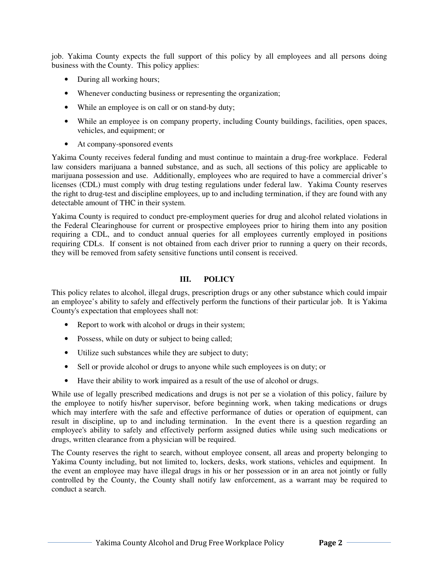job. Yakima County expects the full support of this policy by all employees and all persons doing business with the County. This policy applies:

- During all working hours;
- Whenever conducting business or representing the organization;
- While an employee is on call or on stand-by duty;
- While an employee is on company property, including County buildings, facilities, open spaces, vehicles, and equipment; or
- At company-sponsored events

Yakima County receives federal funding and must continue to maintain a drug-free workplace. Federal law considers marijuana a banned substance, and as such, all sections of this policy are applicable to marijuana possession and use. Additionally, employees who are required to have a commercial driver's licenses (CDL) must comply with drug testing regulations under federal law. Yakima County reserves the right to drug-test and discipline employees, up to and including termination, if they are found with any detectable amount of THC in their system.

Yakima County is required to conduct pre-employment queries for drug and alcohol related violations in the Federal Clearinghouse for current or prospective employees prior to hiring them into any position requiring a CDL, and to conduct annual queries for all employees currently employed in positions requiring CDLs. If consent is not obtained from each driver prior to running a query on their records, they will be removed from safety sensitive functions until consent is received.

### **III. POLICY**

This policy relates to alcohol, illegal drugs, prescription drugs or any other substance which could impair an employee's ability to safely and effectively perform the functions of their particular job. It is Yakima County's expectation that employees shall not:

- Report to work with alcohol or drugs in their system;
- Possess, while on duty or subject to being called;
- Utilize such substances while they are subject to duty;
- Sell or provide alcohol or drugs to anyone while such employees is on duty; or
- Have their ability to work impaired as a result of the use of alcohol or drugs.

While use of legally prescribed medications and drugs is not per se a violation of this policy, failure by the employee to notify his/her supervisor, before beginning work, when taking medications or drugs which may interfere with the safe and effective performance of duties or operation of equipment, can result in discipline, up to and including termination. In the event there is a question regarding an employee's ability to safely and effectively perform assigned duties while using such medications or drugs, written clearance from a physician will be required.

The County reserves the right to search, without employee consent, all areas and property belonging to Yakima County including, but not limited to, lockers, desks, work stations, vehicles and equipment. In the event an employee may have illegal drugs in his or her possession or in an area not jointly or fully controlled by the County, the County shall notify law enforcement, as a warrant may be required to conduct a search.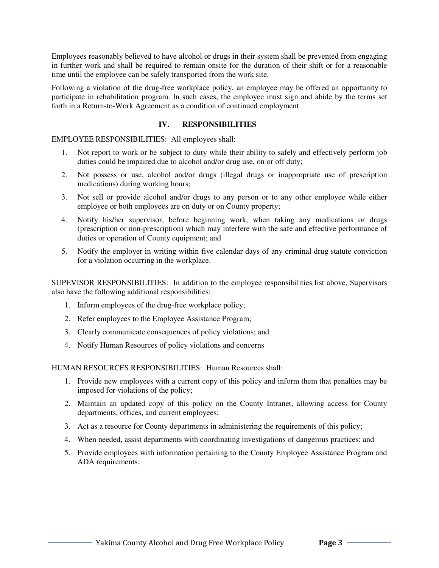Employees reasonably believed to have alcohol or drugs in their system shall be prevented from engaging in further work and shall be required to remain onsite for the duration of their shift or for a reasonable time until the employee can be safely transported from the work site.

Following a violation of the drug-free workplace policy, an employee may be offered an opportunity to participate in rehabilitation program. In such cases, the employee must sign and abide by the terms set forth in a Return-to-Work Agreement as a condition of continued employment.

### **IV. RESPONSIBILITIES**

EMPLOYEE RESPONSIBILITIES: All employees shall:

- 1. Not report to work or be subject to duty while their ability to safely and effectively perform job duties could be impaired due to alcohol and/or drug use, on or off duty;
- 2. Not possess or use, alcohol and/or drugs (illegal drugs or inappropriate use of prescription medications) during working hours;
- 3. Not sell or provide alcohol and/or drugs to any person or to any other employee while either employee or both employees are on duty or on County property;
- 4. Notify his/her supervisor, before beginning work, when taking any medications or drugs (prescription or non-prescription) which may interfere with the safe and effective performance of duties or operation of County equipment; and
- 5. Notify the employer in writing within five calendar days of any criminal drug statute conviction for a violation occurring in the workplace.

SUPEVISOR RESPONSIBILITIES: In addition to the employee responsibilities list above, Supervisors also have the following additional responsibilities:

- 1. Inform employees of the drug-free workplace policy;
- 2. Refer employees to the Employee Assistance Program;
- 3. Clearly communicate consequences of policy violations; and
- 4. Notify Human Resources of policy violations and concerns

HUMAN RESOURCES RESPONSIBILITIES: Human Resources shall:

- 1. Provide new employees with a current copy of this policy and inform them that penalties may be imposed for violations of the policy;
- 2. Maintain an updated copy of this policy on the County Intranet, allowing access for County departments, offices, and current employees;
- 3. Act as a resource for County departments in administering the requirements of this policy;
- 4. When needed, assist departments with coordinating investigations of dangerous practices; and
- 5. Provide employees with information pertaining to the County Employee Assistance Program and ADA requirements.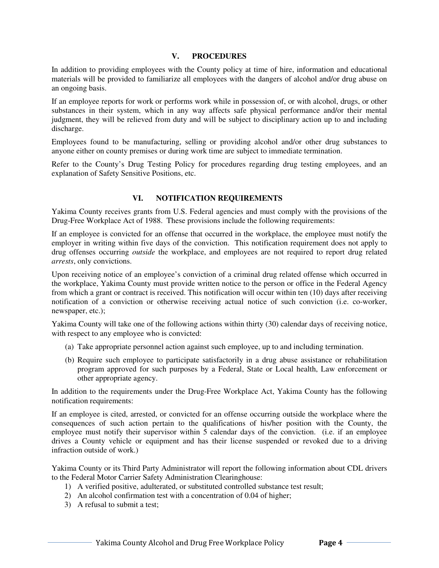#### **V. PROCEDURES**

In addition to providing employees with the County policy at time of hire, information and educational materials will be provided to familiarize all employees with the dangers of alcohol and/or drug abuse on an ongoing basis.

If an employee reports for work or performs work while in possession of, or with alcohol, drugs, or other substances in their system, which in any way affects safe physical performance and/or their mental judgment, they will be relieved from duty and will be subject to disciplinary action up to and including discharge.

Employees found to be manufacturing, selling or providing alcohol and/or other drug substances to anyone either on county premises or during work time are subject to immediate termination.

Refer to the County's Drug Testing Policy for procedures regarding drug testing employees, and an explanation of Safety Sensitive Positions, etc.

### **VI. NOTIFICATION REQUIREMENTS**

Yakima County receives grants from U.S. Federal agencies and must comply with the provisions of the Drug-Free Workplace Act of 1988. These provisions include the following requirements:

If an employee is convicted for an offense that occurred in the workplace, the employee must notify the employer in writing within five days of the conviction. This notification requirement does not apply to drug offenses occurring *outside* the workplace, and employees are not required to report drug related *arrests*, only convictions.

Upon receiving notice of an employee's conviction of a criminal drug related offense which occurred in the workplace, Yakima County must provide written notice to the person or office in the Federal Agency from which a grant or contract is received. This notification will occur within ten (10) days after receiving notification of a conviction or otherwise receiving actual notice of such conviction (i.e. co-worker, newspaper, etc.);

Yakima County will take one of the following actions within thirty (30) calendar days of receiving notice, with respect to any employee who is convicted:

- (a) Take appropriate personnel action against such employee, up to and including termination.
- (b) Require such employee to participate satisfactorily in a drug abuse assistance or rehabilitation program approved for such purposes by a Federal, State or Local health, Law enforcement or other appropriate agency.

In addition to the requirements under the Drug-Free Workplace Act, Yakima County has the following notification requirements:

If an employee is cited, arrested, or convicted for an offense occurring outside the workplace where the consequences of such action pertain to the qualifications of his/her position with the County, the employee must notify their supervisor within  $\overline{5}$  calendar days of the conviction. (i.e. if an employee drives a County vehicle or equipment and has their license suspended or revoked due to a driving infraction outside of work.)

Yakima County or its Third Party Administrator will report the following information about CDL drivers to the Federal Motor Carrier Safety Administration Clearinghouse:

- 1) A verified positive, adulterated, or substituted controlled substance test result;
- 2) An alcohol confirmation test with a concentration of 0.04 of higher;
- 3) A refusal to submit a test;